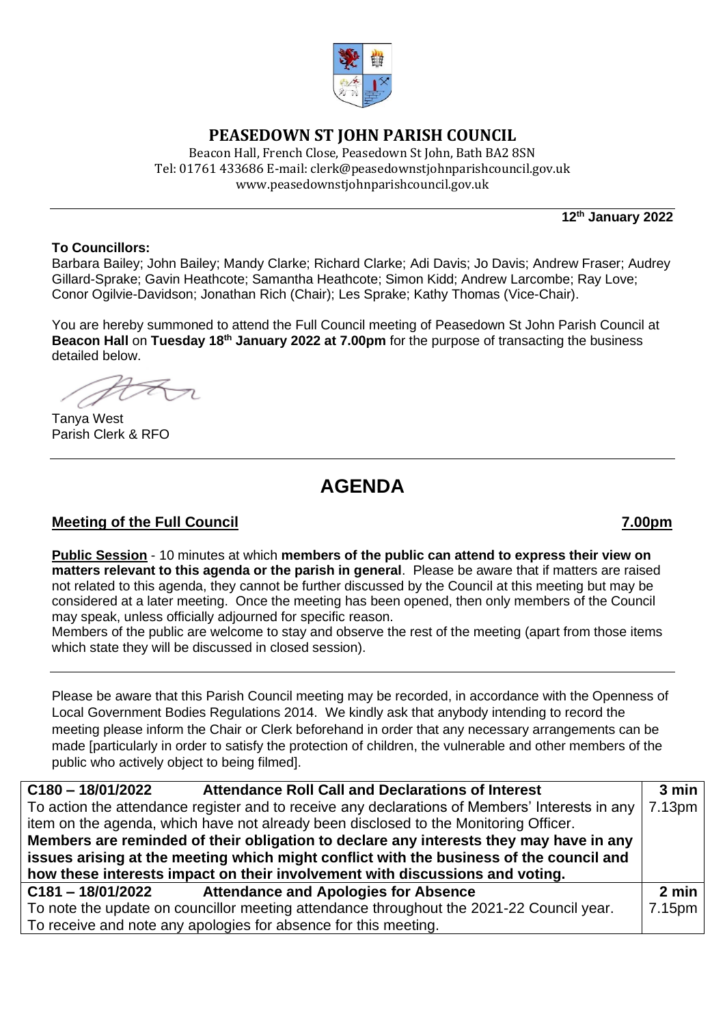

## **PEASEDOWN ST JOHN PARISH COUNCIL**

Beacon Hall, French Close, Peasedown St John, Bath BA2 8SN Tel: 01761 433686 E-mail: clerk@peasedownstjohnparishcouncil.gov.uk [www.peasedownstjohnparishcouncil.gov.uk](http://www.peasedownstjohnparishcouncil.gov.uk/)

**12th January 2022**

### **To Councillors:**

Barbara Bailey; John Bailey; Mandy Clarke; Richard Clarke; Adi Davis; Jo Davis; Andrew Fraser; Audrey Gillard-Sprake; Gavin Heathcote; Samantha Heathcote; Simon Kidd; Andrew Larcombe; Ray Love; Conor Ogilvie-Davidson; Jonathan Rich (Chair); Les Sprake; Kathy Thomas (Vice-Chair).

You are hereby summoned to attend the Full Council meeting of Peasedown St John Parish Council at **Beacon Hall** on **Tuesday 18 th January 2022 at 7.00pm** for the purpose of transacting the business detailed below.

Tanya West Parish Clerk & RFO

# **AGENDA**

## **Meeting of the Full Council 7.00pm**

**Public Session** - 10 minutes at which **members of the public can attend to express their view on matters relevant to this agenda or the parish in general**. Please be aware that if matters are raised not related to this agenda, they cannot be further discussed by the Council at this meeting but may be considered at a later meeting. Once the meeting has been opened, then only members of the Council may speak, unless officially adjourned for specific reason.

Members of the public are welcome to stay and observe the rest of the meeting (apart from those items which state they will be discussed in closed session).

Please be aware that this Parish Council meeting may be recorded, in accordance with the Openness of Local Government Bodies Regulations 2014. We kindly ask that anybody intending to record the meeting please inform the Chair or Clerk beforehand in order that any necessary arrangements can be made [particularly in order to satisfy the protection of children, the vulnerable and other members of the public who actively object to being filmed].

| $C180 - 18/01/2022$<br><b>Attendance Roll Call and Declarations of Interest</b>                | 3 min              |
|------------------------------------------------------------------------------------------------|--------------------|
| To action the attendance register and to receive any declarations of Members' Interests in any | 7.13 <sub>pm</sub> |
| item on the agenda, which have not already been disclosed to the Monitoring Officer.           |                    |
| Members are reminded of their obligation to declare any interests they may have in any         |                    |
| issues arising at the meeting which might conflict with the business of the council and        |                    |
| how these interests impact on their involvement with discussions and voting.                   |                    |
| <b>Attendance and Apologies for Absence</b><br>C181-18/01/2022                                 | $2 \text{ min}$    |
| To note the update on councillor meeting attendance throughout the 2021-22 Council year.       | 7.15pm             |
| To receive and note any apologies for absence for this meeting.                                |                    |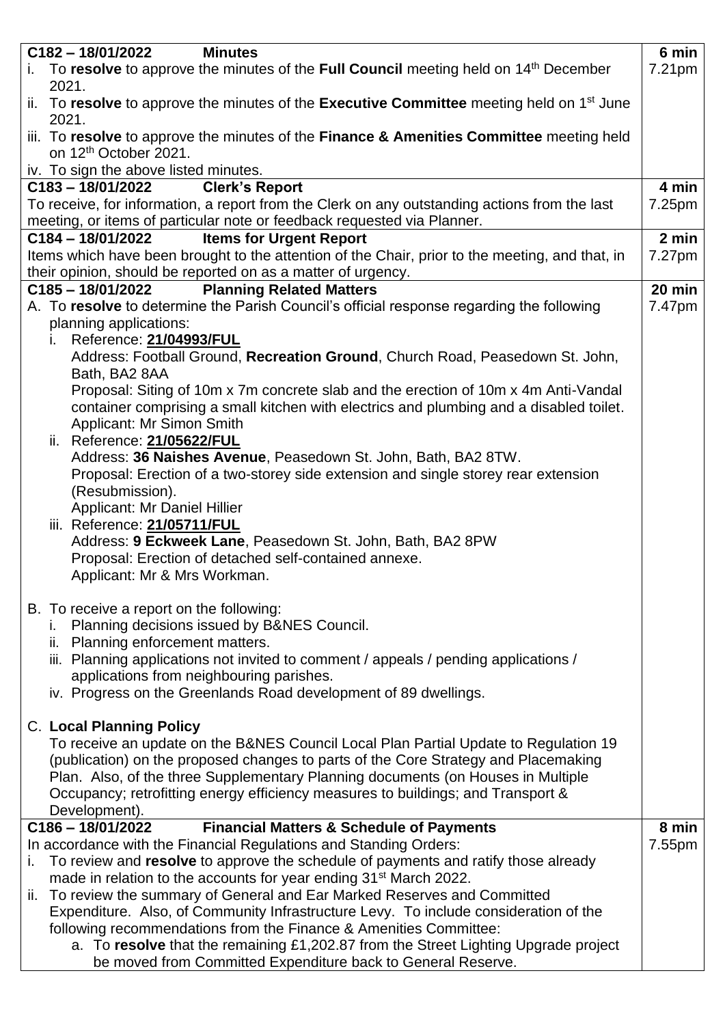| $C182 - 18/01/2022$<br><b>Minutes</b>                                                                                                                     | 6 min              |
|-----------------------------------------------------------------------------------------------------------------------------------------------------------|--------------------|
| i. To resolve to approve the minutes of the Full Council meeting held on $14th$ December<br>2021.                                                         | 7.21 <sub>pm</sub> |
| ii. To resolve to approve the minutes of the Executive Committee meeting held on $1st$ June<br>2021.                                                      |                    |
| iii. To resolve to approve the minutes of the Finance & Amenities Committee meeting held<br>on 12 <sup>th</sup> October 2021.                             |                    |
| iv. To sign the above listed minutes.                                                                                                                     |                    |
| <b>Clerk's Report</b><br>$C183 - 18/01/2022$                                                                                                              | 4 min              |
| To receive, for information, a report from the Clerk on any outstanding actions from the last                                                             | 7.25pm             |
| meeting, or items of particular note or feedback requested via Planner.                                                                                   |                    |
| $C184 - 18/01/2022$<br><b>Items for Urgent Report</b>                                                                                                     | 2 min              |
| Items which have been brought to the attention of the Chair, prior to the meeting, and that, in                                                           | 7.27pm             |
| their opinion, should be reported on as a matter of urgency.                                                                                              |                    |
| <b>Planning Related Matters</b><br>C185-18/01/2022                                                                                                        | 20 min             |
| A. To resolve to determine the Parish Council's official response regarding the following                                                                 | 7.47pm             |
| planning applications:                                                                                                                                    |                    |
| Reference: 21/04993/FUL<br>Ĺ.<br>Address: Football Ground, Recreation Ground, Church Road, Peasedown St. John,                                            |                    |
| Bath, BA2 8AA                                                                                                                                             |                    |
| Proposal: Siting of 10m x 7m concrete slab and the erection of 10m x 4m Anti-Vandal                                                                       |                    |
| container comprising a small kitchen with electrics and plumbing and a disabled toilet.                                                                   |                    |
| Applicant: Mr Simon Smith                                                                                                                                 |                    |
| ii. Reference: 21/05622/FUL                                                                                                                               |                    |
| Address: 36 Naishes Avenue, Peasedown St. John, Bath, BA2 8TW.                                                                                            |                    |
| Proposal: Erection of a two-storey side extension and single storey rear extension                                                                        |                    |
| (Resubmission).                                                                                                                                           |                    |
| Applicant: Mr Daniel Hillier                                                                                                                              |                    |
| iii. Reference: 21/05711/FUL<br>Address: 9 Eckweek Lane, Peasedown St. John, Bath, BA2 8PW                                                                |                    |
| Proposal: Erection of detached self-contained annexe.                                                                                                     |                    |
| Applicant: Mr & Mrs Workman.                                                                                                                              |                    |
|                                                                                                                                                           |                    |
| B. To receive a report on the following:                                                                                                                  |                    |
| Planning decisions issued by B&NES Council.                                                                                                               |                    |
| ii. Planning enforcement matters.                                                                                                                         |                    |
| iii. Planning applications not invited to comment / appeals / pending applications /                                                                      |                    |
| applications from neighbouring parishes.                                                                                                                  |                    |
| iv. Progress on the Greenlands Road development of 89 dwellings.                                                                                          |                    |
| <b>C. Local Planning Policy</b>                                                                                                                           |                    |
| To receive an update on the B&NES Council Local Plan Partial Update to Regulation 19                                                                      |                    |
| (publication) on the proposed changes to parts of the Core Strategy and Placemaking                                                                       |                    |
| Plan. Also, of the three Supplementary Planning documents (on Houses in Multiple                                                                          |                    |
| Occupancy; retrofitting energy efficiency measures to buildings; and Transport &                                                                          |                    |
| Development).                                                                                                                                             |                    |
| <b>Financial Matters &amp; Schedule of Payments</b><br>$C186 - 18/01/2022$                                                                                | 8 min              |
| In accordance with the Financial Regulations and Standing Orders:                                                                                         | 7.55pm             |
| To review and resolve to approve the schedule of payments and ratify those already<br>i.                                                                  |                    |
| made in relation to the accounts for year ending 31 <sup>st</sup> March 2022.                                                                             |                    |
| ii. To review the summary of General and Ear Marked Reserves and Committed                                                                                |                    |
| Expenditure. Also, of Community Infrastructure Levy. To include consideration of the<br>following recommendations from the Finance & Amenities Committee: |                    |
| a. To resolve that the remaining £1,202.87 from the Street Lighting Upgrade project                                                                       |                    |
| be moved from Committed Expenditure back to General Reserve.                                                                                              |                    |
|                                                                                                                                                           |                    |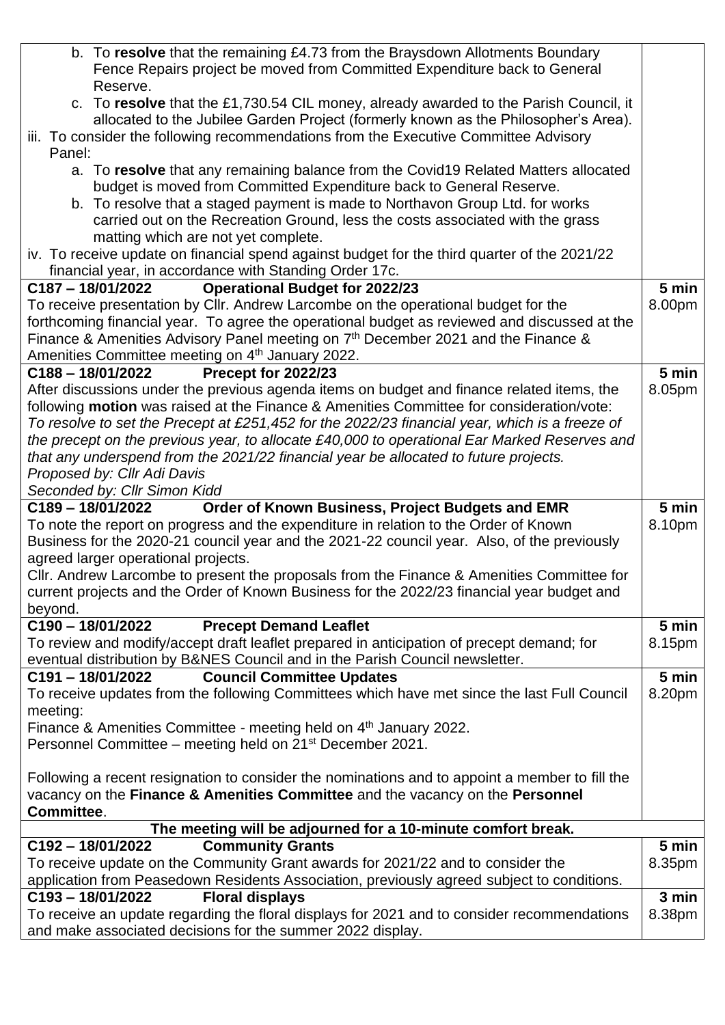| Fence Repairs project be moved from Committed Expenditure back to General                                                                                       |        |
|-----------------------------------------------------------------------------------------------------------------------------------------------------------------|--------|
|                                                                                                                                                                 |        |
| Reserve.<br>c. To resolve that the £1,730.54 CIL money, already awarded to the Parish Council, it                                                               |        |
| allocated to the Jubilee Garden Project (formerly known as the Philosopher's Area).                                                                             |        |
| iii. To consider the following recommendations from the Executive Committee Advisory                                                                            |        |
| Panel:                                                                                                                                                          |        |
| a. To resolve that any remaining balance from the Covid19 Related Matters allocated                                                                             |        |
| budget is moved from Committed Expenditure back to General Reserve.                                                                                             |        |
| b. To resolve that a staged payment is made to Northavon Group Ltd. for works<br>carried out on the Recreation Ground, less the costs associated with the grass |        |
| matting which are not yet complete.                                                                                                                             |        |
| iv. To receive update on financial spend against budget for the third quarter of the 2021/22                                                                    |        |
| financial year, in accordance with Standing Order 17c.                                                                                                          |        |
| <b>Operational Budget for 2022/23</b><br>C187-18/01/2022                                                                                                        | 5 min  |
| To receive presentation by Cllr. Andrew Larcombe on the operational budget for the                                                                              | 8.00pm |
| forthcoming financial year. To agree the operational budget as reviewed and discussed at the                                                                    |        |
| Finance & Amenities Advisory Panel meeting on 7 <sup>th</sup> December 2021 and the Finance &                                                                   |        |
| Amenities Committee meeting on 4th January 2022.                                                                                                                |        |
| Precept for 2022/23<br>C188-18/01/2022                                                                                                                          | 5 min  |
| After discussions under the previous agenda items on budget and finance related items, the                                                                      | 8.05pm |
| following <b>motion</b> was raised at the Finance & Amenities Committee for consideration/vote:                                                                 |        |
| To resolve to set the Precept at £251,452 for the 2022/23 financial year, which is a freeze of                                                                  |        |
| the precept on the previous year, to allocate £40,000 to operational Ear Marked Reserves and                                                                    |        |
| that any underspend from the 2021/22 financial year be allocated to future projects.                                                                            |        |
| Proposed by: Cllr Adi Davis<br>Seconded by: Cllr Simon Kidd                                                                                                     |        |
| Order of Known Business, Project Budgets and EMR<br>C189-18/01/2022                                                                                             | 5 min  |
|                                                                                                                                                                 |        |
|                                                                                                                                                                 |        |
| To note the report on progress and the expenditure in relation to the Order of Known                                                                            | 8.10pm |
| Business for the 2020-21 council year and the 2021-22 council year. Also, of the previously<br>agreed larger operational projects.                              |        |
| CIIr. Andrew Larcombe to present the proposals from the Finance & Amenities Committee for                                                                       |        |
| current projects and the Order of Known Business for the 2022/23 financial year budget and                                                                      |        |
| beyond.                                                                                                                                                         |        |
| C190-18/01/2022<br><b>Precept Demand Leaflet</b>                                                                                                                | 5 min  |
| To review and modify/accept draft leaflet prepared in anticipation of precept demand; for                                                                       | 8.15pm |
| eventual distribution by B&NES Council and in the Parish Council newsletter.                                                                                    |        |
| <b>Council Committee Updates</b><br>$C191 - 18/01/2022$                                                                                                         | 5 min  |
| To receive updates from the following Committees which have met since the last Full Council                                                                     | 8.20pm |
| meeting:                                                                                                                                                        |        |
| Finance & Amenities Committee - meeting held on 4 <sup>th</sup> January 2022.                                                                                   |        |
| Personnel Committee – meeting held on 21 <sup>st</sup> December 2021.                                                                                           |        |
|                                                                                                                                                                 |        |
| Following a recent resignation to consider the nominations and to appoint a member to fill the                                                                  |        |
| vacancy on the Finance & Amenities Committee and the vacancy on the Personnel<br>Committee.                                                                     |        |
|                                                                                                                                                                 |        |
| The meeting will be adjourned for a 10-minute comfort break.<br><b>Community Grants</b><br>C192-18/01/2022                                                      | 5 min  |
| To receive update on the Community Grant awards for 2021/22 and to consider the                                                                                 | 8.35pm |
| application from Peasedown Residents Association, previously agreed subject to conditions.                                                                      |        |
| <b>Floral displays</b><br>C193-18/01/2022                                                                                                                       | 3 min  |
| To receive an update regarding the floral displays for 2021 and to consider recommendations<br>and make associated decisions for the summer 2022 display.       | 8.38pm |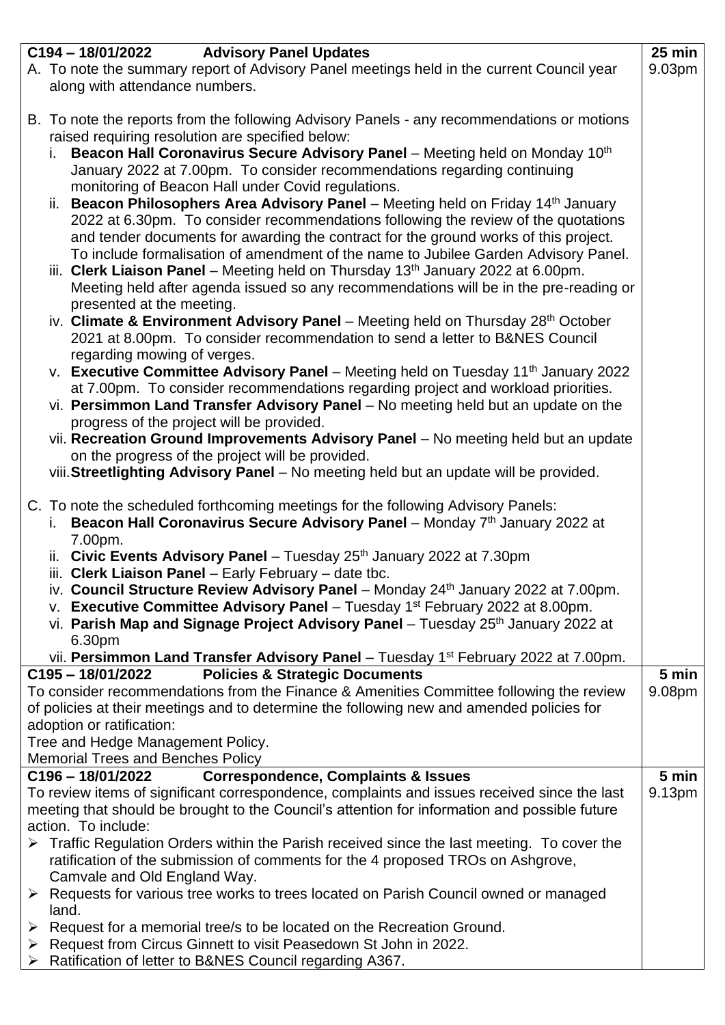|   | C194 - 18/01/2022 Advisory Panel Updates                                                                                                                           | $25 \text{ min}$   |
|---|--------------------------------------------------------------------------------------------------------------------------------------------------------------------|--------------------|
|   | A. To note the summary report of Advisory Panel meetings held in the current Council year                                                                          | 9.03 <sub>pm</sub> |
|   | along with attendance numbers.                                                                                                                                     |                    |
|   |                                                                                                                                                                    |                    |
|   | B. To note the reports from the following Advisory Panels - any recommendations or motions                                                                         |                    |
|   | raised requiring resolution are specified below:                                                                                                                   |                    |
|   | Beacon Hall Coronavirus Secure Advisory Panel - Meeting held on Monday 10th<br>i.                                                                                  |                    |
|   | January 2022 at 7.00pm. To consider recommendations regarding continuing                                                                                           |                    |
|   | monitoring of Beacon Hall under Covid regulations.                                                                                                                 |                    |
|   | ii. Beacon Philosophers Area Advisory Panel – Meeting held on Friday 14 <sup>th</sup> January                                                                      |                    |
|   | 2022 at 6.30pm. To consider recommendations following the review of the quotations                                                                                 |                    |
|   | and tender documents for awarding the contract for the ground works of this project.                                                                               |                    |
|   | To include formalisation of amendment of the name to Jubilee Garden Advisory Panel.                                                                                |                    |
|   | iii. Clerk Liaison Panel - Meeting held on Thursday 13 <sup>th</sup> January 2022 at 6.00pm.                                                                       |                    |
|   | Meeting held after agenda issued so any recommendations will be in the pre-reading or                                                                              |                    |
|   | presented at the meeting.                                                                                                                                          |                    |
|   | iv. Climate & Environment Advisory Panel - Meeting held on Thursday 28 <sup>th</sup> October                                                                       |                    |
|   | 2021 at 8.00pm. To consider recommendation to send a letter to B&NES Council                                                                                       |                    |
|   | regarding mowing of verges.                                                                                                                                        |                    |
|   |                                                                                                                                                                    |                    |
|   | v. Executive Committee Advisory Panel - Meeting held on Tuesday 11 <sup>th</sup> January 2022                                                                      |                    |
|   | at 7.00pm. To consider recommendations regarding project and workload priorities.                                                                                  |                    |
|   | vi. Persimmon Land Transfer Advisory Panel - No meeting held but an update on the                                                                                  |                    |
|   | progress of the project will be provided.                                                                                                                          |                    |
|   | vii. Recreation Ground Improvements Advisory Panel - No meeting held but an update                                                                                 |                    |
|   | on the progress of the project will be provided.                                                                                                                   |                    |
|   | viii. Streetlighting Advisory Panel - No meeting held but an update will be provided.                                                                              |                    |
|   | C. To note the scheduled forthcoming meetings for the following Advisory Panels:                                                                                   |                    |
|   | i. Beacon Hall Coronavirus Secure Advisory Panel - Monday $7th$ January 2022 at                                                                                    |                    |
|   | 7.00pm.                                                                                                                                                            |                    |
|   | ii. Civic Events Advisory Panel - Tuesday $25th$ January 2022 at 7.30pm                                                                                            |                    |
|   | iii. Clerk Liaison Panel - Early February - date tbc.                                                                                                              |                    |
|   | iv. Council Structure Review Advisory Panel - Monday 24th January 2022 at 7.00pm.                                                                                  |                    |
|   |                                                                                                                                                                    |                    |
|   | v. Executive Committee Advisory Panel - Tuesday $1st$ February 2022 at 8.00pm.                                                                                     |                    |
|   | vi. Parish Map and Signage Project Advisory Panel - Tuesday 25th January 2022 at                                                                                   |                    |
|   | 6.30pm                                                                                                                                                             |                    |
|   | vii. Persimmon Land Transfer Advisory Panel - Tuesday 1 <sup>st</sup> February 2022 at 7.00pm.<br><b>Policies &amp; Strategic Documents</b><br>$C195 - 18/01/2022$ | 5 min              |
|   | To consider recommendations from the Finance & Amenities Committee following the review                                                                            | 9.08pm             |
|   |                                                                                                                                                                    |                    |
|   | of policies at their meetings and to determine the following new and amended policies for<br>adoption or ratification:                                             |                    |
|   | Tree and Hedge Management Policy.                                                                                                                                  |                    |
|   | <b>Memorial Trees and Benches Policy</b>                                                                                                                           |                    |
|   | <b>Correspondence, Complaints &amp; Issues</b><br>C196-18/01/2022                                                                                                  | 5 min              |
|   | To review items of significant correspondence, complaints and issues received since the last                                                                       | 9.13pm             |
|   | meeting that should be brought to the Council's attention for information and possible future                                                                      |                    |
|   | action. To include:                                                                                                                                                |                    |
|   | $\triangleright$ Traffic Regulation Orders within the Parish received since the last meeting. To cover the                                                         |                    |
|   | ratification of the submission of comments for the 4 proposed TROs on Ashgrove,                                                                                    |                    |
|   | Camvale and Old England Way.                                                                                                                                       |                    |
|   | ▶ Requests for various tree works to trees located on Parish Council owned or managed                                                                              |                    |
|   | land.                                                                                                                                                              |                    |
| ➤ | Request for a memorial tree/s to be located on the Recreation Ground.                                                                                              |                    |
|   | > Request from Circus Ginnett to visit Peasedown St John in 2022.                                                                                                  |                    |
| ➤ | Ratification of letter to B&NES Council regarding A367.                                                                                                            |                    |
|   |                                                                                                                                                                    |                    |